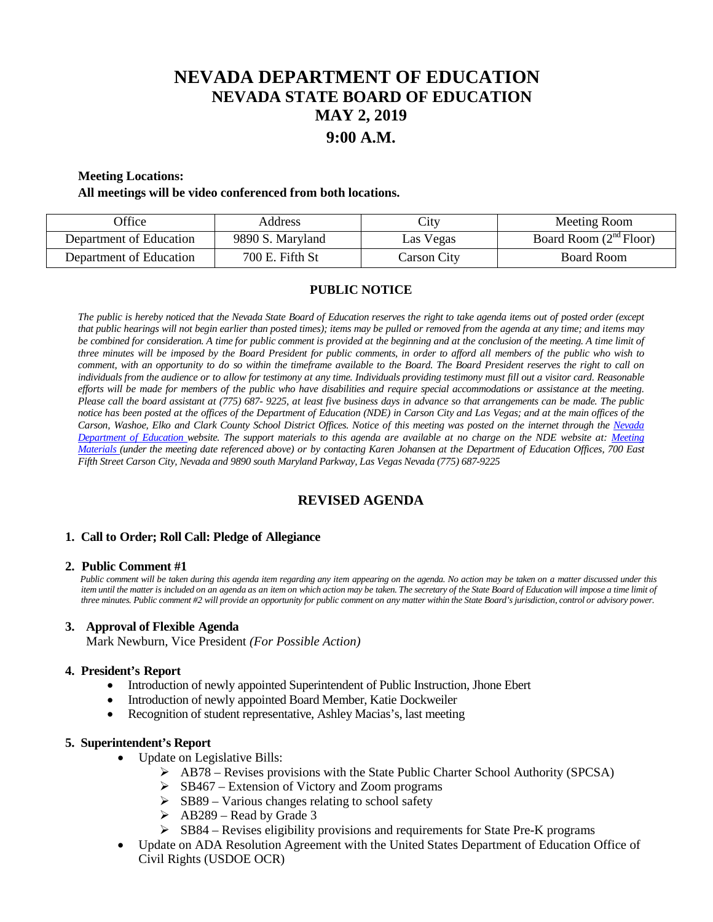# **NEVADA DEPARTMENT OF EDUCATION NEVADA STATE BOARD OF EDUCATION MAY 2, 2019 9:00 A.M.**

#### **Meeting Locations:**

#### **All meetings will be video conferenced from both locations.**

| <b>Office</b>           | Address          | City        | Meeting Room             |
|-------------------------|------------------|-------------|--------------------------|
| Department of Education | 9890 S. Maryland | Las Vegas   | Board Room $(2nd Floor)$ |
| Department of Education | 700 E. Fifth St  | Carson City | Board Room               |

# **PUBLIC NOTICE**

*The public is hereby noticed that the Nevada State Board of Education reserves the right to take agenda items out of posted order (except that public hearings will not begin earlier than posted times); items may be pulled or removed from the agenda at any time; and items may be combined for consideration. A time for public comment is provided at the beginning and at the conclusion of the meeting. A time limit of three minutes will be imposed by the Board President for public comments, in order to afford all members of the public who wish to comment, with an opportunity to do so within the timeframe available to the Board. The Board President reserves the right to call on individuals from the audience or to allow for testimony at any time. Individuals providing testimony must fill out a visitor card. Reasonable efforts will be made for members of the public who have disabilities and require special accommodations or assistance at the meeting. Please call the board assistant at (775) 687- 9225, at least five business days in advance so that arrangements can be made. The public notice has been posted at the offices of the Department of Education (NDE) in Carson City and Las Vegas; and at the main offices of the Carson, Washoe, Elko and Clark County School District Offices. Notice of this meeting was posted on the internet through the Nevada Department of Education website. The support materials to this agenda are available at no charge on the NDE website at: [Meeting](http://www.doe.nv.gov/Boards_Commissions_Councils/State_Board_of_Education/MeetingMaterials/)  [Materials \(](http://www.doe.nv.gov/Boards_Commissions_Councils/State_Board_of_Education/MeetingMaterials/)under the meeting date referenced above) or by contacting Karen Johansen at the Department of Education Offices, 700 East Fifth Street Carson City, Nevada and 9890 south Maryland Parkway, Las Vegas Nevada (775) 687-9225*

# **REVISED AGENDA**

#### **1. Call to Order; Roll Call: Pledge of Allegiance**

#### **2. Public Comment #1**

 *Public comment will be taken during this agenda item regarding any item appearing on the agenda. No action may be taken on a matter discussed under this item until the matter is included on an agenda as an item on which action may be taken. The secretary of the State Board of Education will impose a time limit of three minutes. Public comment #2 will provide an opportunity for public comment on any matter within the State Board's jurisdiction, control or advisory power.*

#### **3. Approval of Flexible Agenda**

Mark Newburn, Vice President *(For Possible Action)*

#### **4. President's Report**

- Introduction of newly appointed Superintendent of Public Instruction, Jhone Ebert
- Introduction of newly appointed Board Member, Katie Dockweiler
- Recognition of student representative, Ashley Macias's, last meeting

#### **5. Superintendent's Report**

- Update on Legislative Bills:
	- $\triangleright$  AB78 Revises provisions with the State Public Charter School Authority (SPCSA)
	- $\triangleright$  SB467 Extension of Victory and Zoom programs
	- $\triangleright$  SB89 Various changes relating to school safety
	- $\triangleright$  AB289 Read by Grade 3
	- $\triangleright$  SB84 Revises eligibility provisions and requirements for State Pre-K programs
- Update on ADA Resolution Agreement with the United States Department of Education Office of Civil Rights (USDOE OCR)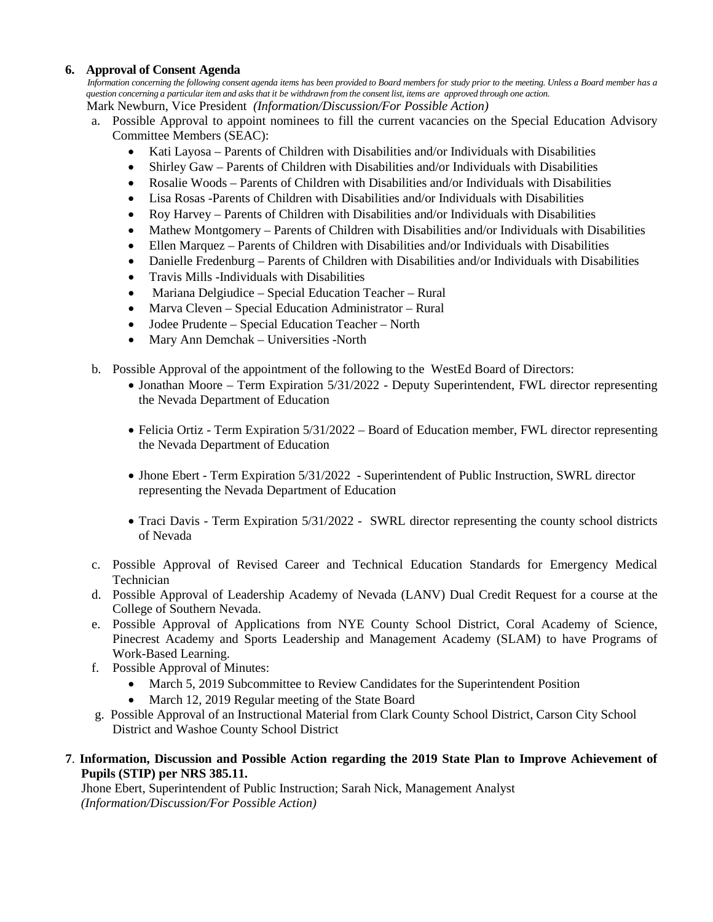# **6. Approval of Consent Agenda**

 *Information concerning the following consent agenda items has been provided to Board members for study prior to the meeting. Unless a Board member has a question concerning a particular item and asks that it be withdrawn from the consent list, items are approved through one action.* Mark Newburn, Vice President *(Information/Discussion/For Possible Action)*

- a. Possible Approval to appoint nominees to fill the current vacancies on the Special Education Advisory Committee Members (SEAC):
	- Kati Layosa Parents of Children with Disabilities and/or Individuals with Disabilities
	- Shirley Gaw Parents of Children with Disabilities and/or Individuals with Disabilities
	- Rosalie Woods Parents of Children with Disabilities and/or Individuals with Disabilities
	- Lisa Rosas -Parents of Children with Disabilities and/or Individuals with Disabilities
	- Roy Harvey Parents of Children with Disabilities and/or Individuals with Disabilities
	- Mathew Montgomery Parents of Children with Disabilities and/or Individuals with Disabilities
	- Ellen Marquez Parents of Children with Disabilities and/or Individuals with Disabilities
	- Danielle Fredenburg Parents of Children with Disabilities and/or Individuals with Disabilities
	- Travis Mills -Individuals with Disabilities
	- Mariana Delgiudice Special Education Teacher Rural
	- Marva Cleven Special Education Administrator Rural
	- Jodee Prudente Special Education Teacher North
	- Mary Ann Demchak Universities -North
- b. Possible Approval of the appointment of the following to the WestEd Board of Directors:
	- Jonathan Moore Term Expiration 5/31/2022 Deputy Superintendent, FWL director representing the Nevada Department of Education
	- Felicia Ortiz Term Expiration 5/31/2022 Board of Education member, FWL director representing the Nevada Department of Education
	- Jhone Ebert Term Expiration 5/31/2022 Superintendent of Public Instruction, SWRL director representing the Nevada Department of Education
	- Traci Davis Term Expiration  $5/31/2022$  SWRL director representing the county school districts of Nevada
- c. Possible Approval of Revised Career and Technical Education Standards for Emergency Medical Technician
- d. Possible Approval of Leadership Academy of Nevada (LANV) Dual Credit Request for a course at the College of Southern Nevada.
- e. Possible Approval of Applications from NYE County School District, Coral Academy of Science, Pinecrest Academy and Sports Leadership and Management Academy (SLAM) to have Programs of Work-Based Learning.
- f. Possible Approval of Minutes:
	- March 5, 2019 Subcommittee to Review Candidates for the Superintendent Position
	- March 12, 2019 Regular meeting of the State Board
- g.Possible Approval of an Instructional Material from Clark County School District, Carson City School District and Washoe County School District

# **7**. **Information, Discussion and Possible Action regarding the 2019 State Plan to Improve Achievement of Pupils (STIP) per NRS 385.11.**

 Jhone Ebert, Superintendent of Public Instruction; Sarah Nick, Management Analyst *(Information/Discussion/For Possible Action)*